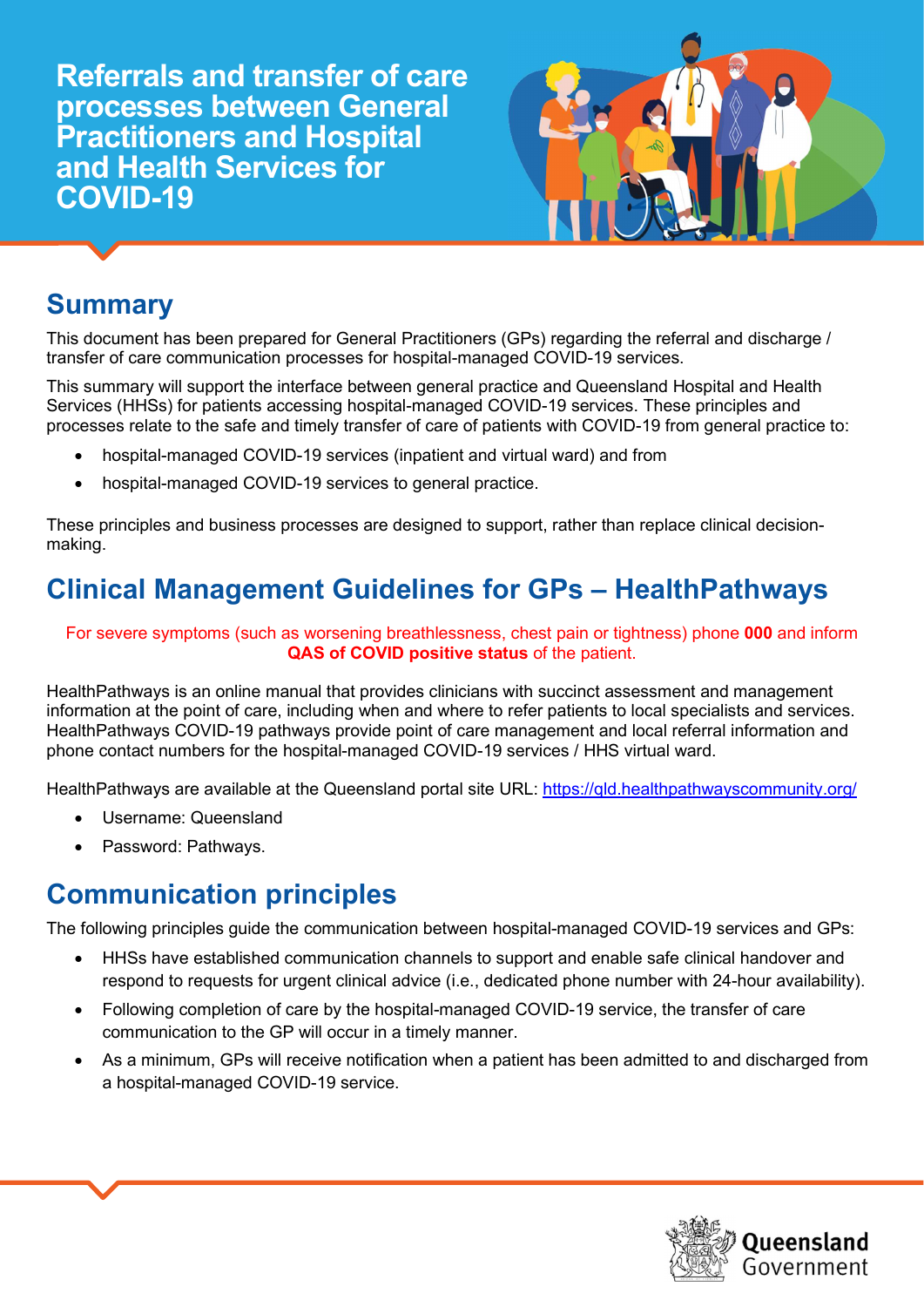Referrals and transfer of care processes between General Practitioners and Hospital and Health Services for COVID-19



## **Summary**

This document has been prepared for General Practitioners (GPs) regarding the referral and discharge / transfer of care communication processes for hospital-managed COVID-19 services.

This summary will support the interface between general practice and Queensland Hospital and Health Services (HHSs) for patients accessing hospital-managed COVID-19 services. These principles and processes relate to the safe and timely transfer of care of patients with COVID-19 from general practice to:

- hospital-managed COVID-19 services (inpatient and virtual ward) and from
- hospital-managed COVID-19 services to general practice.

These principles and business processes are designed to support, rather than replace clinical decisionmaking.

# Clinical Management Guidelines for GPs – HealthPathways

For severe symptoms (such as worsening breathlessness, chest pain or tightness) phone 000 and inform QAS of COVID positive status of the patient.

HealthPathways is an online manual that provides clinicians with succinct assessment and management information at the point of care, including when and where to refer patients to local specialists and services. HealthPathways COVID-19 pathways provide point of care management and local referral information and phone contact numbers for the hospital-managed COVID-19 services / HHS virtual ward.

HealthPathways are available at the Queensland portal site URL: https://qld.healthpathwayscommunity.org/

- Username: Queensland
- Password: Pathways.

## Communication principles

The following principles guide the communication between hospital-managed COVID-19 services and GPs:

- HHSs have established communication channels to support and enable safe clinical handover and respond to requests for urgent clinical advice (i.e., dedicated phone number with 24-hour availability).
- Following completion of care by the hospital-managed COVID-19 service, the transfer of care communication to the GP will occur in a timely manner.
- As a minimum, GPs will receive notification when a patient has been admitted to and discharged from a hospital-managed COVID-19 service.

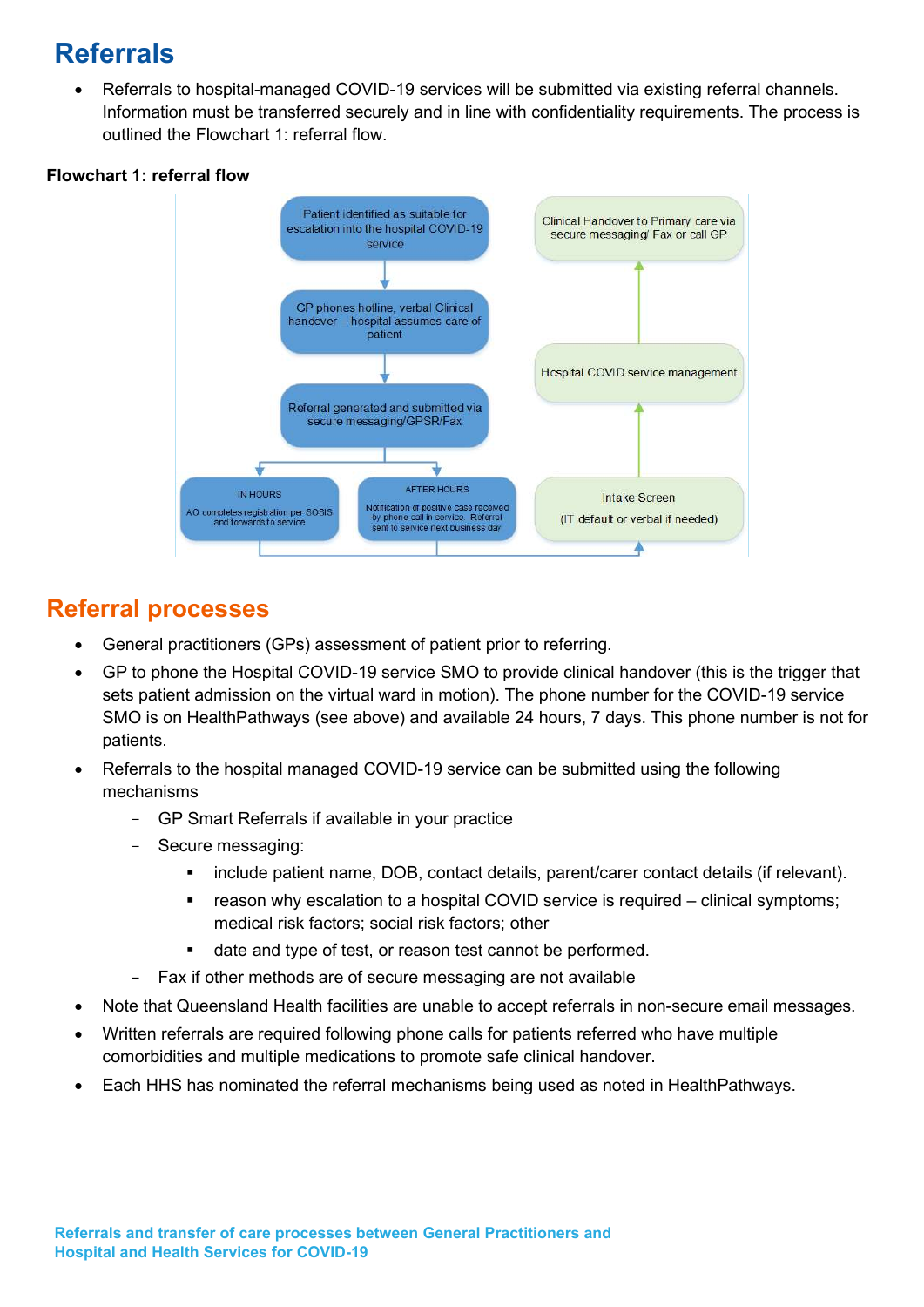# Referrals

 Referrals to hospital-managed COVID-19 services will be submitted via existing referral channels. Information must be transferred securely and in line with confidentiality requirements. The process is outlined the Flowchart 1: referral flow.

#### Flowchart 1: referral flow



### Referral processes

- General practitioners (GPs) assessment of patient prior to referring.
- GP to phone the Hospital COVID-19 service SMO to provide clinical handover (this is the trigger that sets patient admission on the virtual ward in motion). The phone number for the COVID-19 service SMO is on HealthPathways (see above) and available 24 hours, 7 days. This phone number is not for patients.
- Referrals to the hospital managed COVID-19 service can be submitted using the following mechanisms
	- GP Smart Referrals if available in your practice
	- Secure messaging:
		- include patient name, DOB, contact details, parent/carer contact details (if relevant).
		- reason why escalation to a hospital COVID service is required clinical symptoms; medical risk factors; social risk factors; other
		- date and type of test, or reason test cannot be performed.
		- Fax if other methods are of secure messaging are not available
- Note that Queensland Health facilities are unable to accept referrals in non-secure email messages.
- Written referrals are required following phone calls for patients referred who have multiple comorbidities and multiple medications to promote safe clinical handover.
- Each HHS has nominated the referral mechanisms being used as noted in HealthPathways.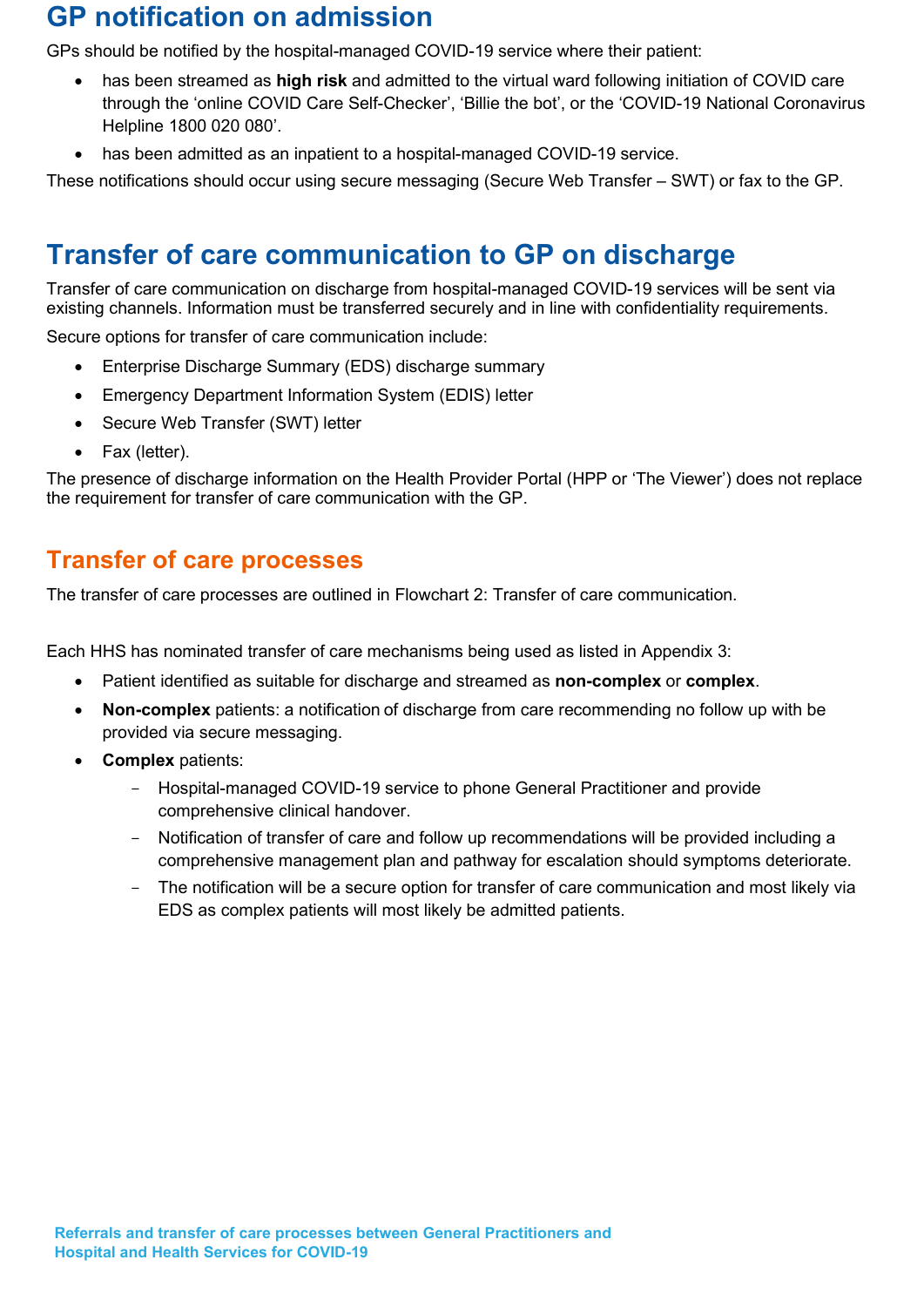## GP notification on admission

GPs should be notified by the hospital-managed COVID-19 service where their patient:

- has been streamed as **high risk** and admitted to the virtual ward following initiation of COVID care through the 'online COVID Care Self-Checker', 'Billie the bot', or the 'COVID-19 National Coronavirus Helpline 1800 020 080'.
- has been admitted as an inpatient to a hospital-managed COVID-19 service.

These notifications should occur using secure messaging (Secure Web Transfer – SWT) or fax to the GP.

### Transfer of care communication to GP on discharge

Transfer of care communication on discharge from hospital-managed COVID-19 services will be sent via existing channels. Information must be transferred securely and in line with confidentiality requirements.

Secure options for transfer of care communication include:

- Enterprise Discharge Summary (EDS) discharge summary
- Emergency Department Information System (EDIS) letter
- Secure Web Transfer (SWT) letter
- Fax (letter).

The presence of discharge information on the Health Provider Portal (HPP or 'The Viewer') does not replace the requirement for transfer of care communication with the GP.

### Transfer of care processes

The transfer of care processes are outlined in Flowchart 2: Transfer of care communication.

Each HHS has nominated transfer of care mechanisms being used as listed in Appendix 3:

- Patient identified as suitable for discharge and streamed as **non-complex** or **complex**.
- Non-complex patients: a notification of discharge from care recommending no follow up with be provided via secure messaging.
- Complex patients:
	- Hospital-managed COVID-19 service to phone General Practitioner and provide comprehensive clinical handover.
	- Notification of transfer of care and follow up recommendations will be provided including a comprehensive management plan and pathway for escalation should symptoms deteriorate.
	- The notification will be a secure option for transfer of care communication and most likely via EDS as complex patients will most likely be admitted patients.